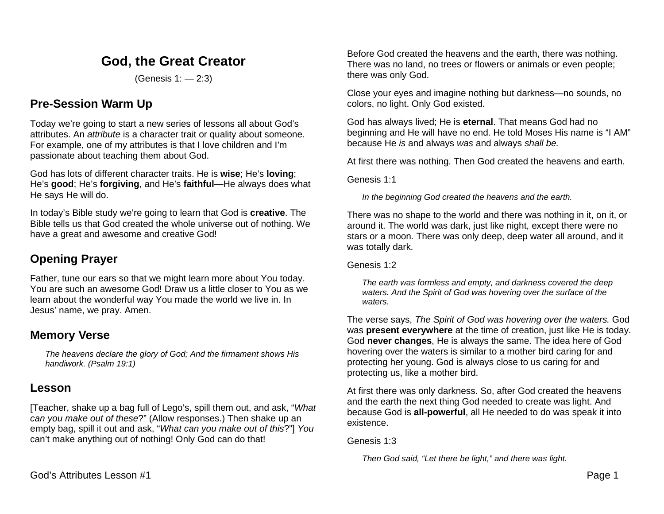# **God, the Great Creator**

(Genesis 1: — 2:3)

# **Pre-Session Warm Up**

Today we're going to start a new series of lessons all about God's attributes. An *attribute* is a character trait or quality about someone. For example, one of my attributes is that I love children and I'm passionate about teaching them about God.

God has lots of different character traits. He is **wise**; He's **loving**; He's **good**; He's **forgiving**, and He's **faithful**—He always does what He says He will do.

In today's Bible study we're going to learn that God is **creative**. The Bible tells us that God created the whole universe out of nothing. We have a great and awesome and creative God!

# **Opening Prayer**

Father, tune our ears so that we might learn more about You today. You are such an awesome God! Draw us a little closer to You as we learn about the wonderful way You made the world we live in. In Jesus' name, we pray. Amen.

## **Memory Verse**

*The heavens declare the glory of God; And the firmament shows His handiwork. (Psalm 19:1)*

## **Lesson**

[Teacher, shake up a bag full of Lego's, spill them out, and ask, "*What can you make out of these*?" (Allow responses.) Then shake up an empty bag, spill it out and ask, "*What can you make out of this*?"] *You* can't make anything out of nothing! Only God can do that!

Before God created the heavens and the earth, there was nothing. There was no land, no trees or flowers or animals or even people; there was only God.

Close your eyes and imagine nothing but darkness—no sounds, no colors, no light. Only God existed.

God has always lived; He is **eternal**. That means God had no beginning and He will have no end. He told Moses His name is "I AM" because He *is* and always *was* and always *shall be.*

At first there was nothing. Then God created the heavens and earth.

Genesis 1:1

*In the beginning God created the heavens and the earth.*

There was no shape to the world and there was nothing in it, on it, or around it. The world was dark, just like night, except there were no stars or a moon. There was only deep, deep water all around, and it was totally dark.

Genesis 1:2

*The earth was formless and empty, and darkness covered the deep waters. And the Spirit of God was hovering over the surface of the waters.*

The verse says, *The Spirit of God was hovering over the waters.* God was **present everywhere** at the time of creation, just like He is today. God **never changes**, He is always the same. The idea here of God hovering over the waters is similar to a mother bird caring for and protecting her young. God is always close to us caring for and protecting us, like a mother bird.

At first there was only darkness. So, after God created the heavens and the earth the next thing God needed to create was light. And because God is **all-powerful**, all He needed to do was speak it into existence.

Genesis 1:3

*Then God said, "Let there be light," and there was light.*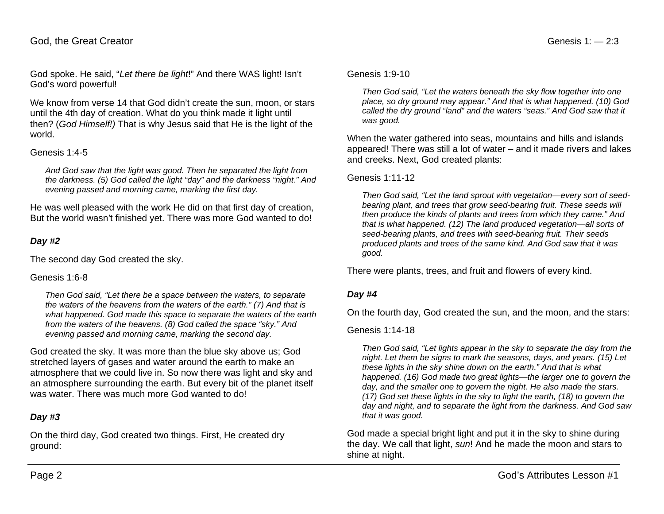God spoke. He said, "*Let there be light*!" And there WAS light! Isn't God's word powerful!

We know from verse 14 that God didn't create the sun, moon, or stars until the 4th day of creation. What do you think made it light until then? (*God Himself!)* That is why Jesus said that He is the light of the world.

### Genesis 1:4-5

*And God saw that the light was good. Then he separated the light from the darkness. (5) God called the light "day" and the darkness "night." And evening passed and morning came, marking the first day.*

He was well pleased with the work He did on that first day of creation, But the world wasn't finished yet. There was more God wanted to do!

### *Day #2*

The second day God created the sky.

### Genesis 1:6-8

*Then God said, "Let there be a space between the waters, to separate the waters of the heavens from the waters of the earth." (7) And that is what happened. God made this space to separate the waters of the earth from the waters of the heavens. (8) God called the space "sky." And evening passed and morning came, marking the second day.*

God created the sky. It was more than the blue sky above us; God stretched layers of gases and water around the earth to make an atmosphere that we could live in. So now there was light and sky and an atmosphere surrounding the earth. But every bit of the planet itself was water. There was much more God wanted to do!

### *Day #3*

On the third day, God created two things. First, He created dry ground:

#### Genesis 1:9-10

*Then God said, "Let the waters beneath the sky flow together into one place, so dry ground may appear." And that is what happened. (10) God called the dry ground "land" and the waters "seas." And God saw that it was good.*

When the water gathered into seas, mountains and hills and islands appeared! There was still a lot of water – and it made rivers and lakes and creeks. Next, God created plants:

#### Genesis 1:11-12

*Then God said, "Let the land sprout with vegetation—every sort of seedbearing plant, and trees that grow seed-bearing fruit. These seeds will then produce the kinds of plants and trees from which they came." And that is what happened. (12) The land produced vegetation—all sorts of seed-bearing plants, and trees with seed-bearing fruit. Their seeds produced plants and trees of the same kind. And God saw that it was good.*

There were plants, trees, and fruit and flowers of every kind.

### *Day #4*

On the fourth day, God created the sun, and the moon, and the stars:

#### Genesis 1:14-18

*Then God said, "Let lights appear in the sky to separate the day from the night. Let them be signs to mark the seasons, days, and years. (15) Let these lights in the sky shine down on the earth." And that is what happened. (16) God made two great lights—the larger one to govern the day, and the smaller one to govern the night. He also made the stars. (17) God set these lights in the sky to light the earth, (18) to govern the day and night, and to separate the light from the darkness. And God saw that it was good.*

God made a special bright light and put it in the sky to shine during the day. We call that light, *sun*! And he made the moon and stars to shine at night.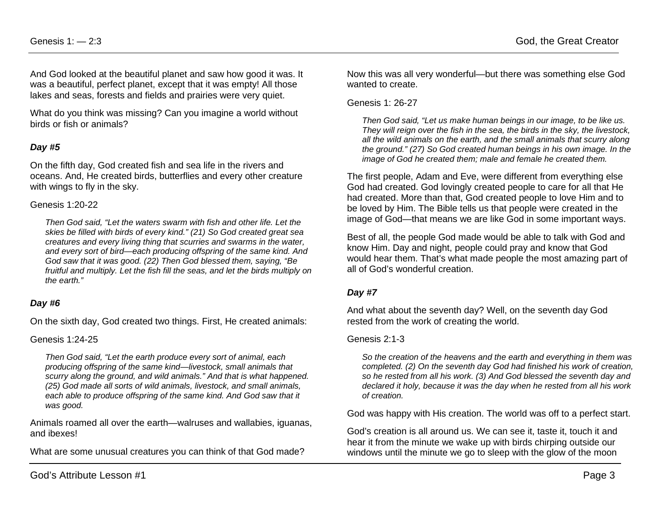And God looked at the beautiful planet and saw how good it was. It was a beautiful, perfect planet, except that it was empty! All those lakes and seas, forests and fields and prairies were very quiet.

What do you think was missing? Can you imagine a world without birds or fish or animals?

### *Day #5*

On the fifth day, God created fish and sea life in the rivers and oceans. And, He created birds, butterflies and every other creature with wings to fly in the sky.

#### Genesis 1:20-22

*Then God said, "Let the waters swarm with fish and other life. Let the skies be filled with birds of every kind." (21) So God created great sea creatures and every living thing that scurries and swarms in the water, and every sort of bird—each producing offspring of the same kind. And God saw that it was good. (22) Then God blessed them, saying, "Be fruitful and multiply. Let the fish fill the seas, and let the birds multiply on the earth."*

### *Day #6*

On the sixth day, God created two things. First, He created animals:

#### Genesis 1:24-25

*Then God said, "Let the earth produce every sort of animal, each producing offspring of the same kind—livestock, small animals that scurry along the ground, and wild animals." And that is what happened. (25) God made all sorts of wild animals, livestock, and small animals,*  each able to produce offspring of the same kind. And God saw that it *was good.*

Animals roamed all over the earth—walruses and wallabies, iguanas, and ibexes!

What are some unusual creatures you can think of that God made?

Now this was all very wonderful—but there was something else God wanted to create.

#### Genesis 1: 26-27

*Then God said, "Let us make human beings in our image, to be like us. They will reign over the fish in the sea, the birds in the sky, the livestock, all the wild animals on the earth, and the small animals that scurry along the ground." (27) So God created human beings in his own image. In the image of God he created them; male and female he created them.*

The first people, Adam and Eve, were different from everything else God had created. God lovingly created people to care for all that He had created. More than that, God created people to love Him and to be loved by Him. The Bible tells us that people were created in the image of God—that means we are like God in some important ways.

Best of all, the people God made would be able to talk with God and know Him. Day and night, people could pray and know that God would hear them. That's what made people the most amazing part of all of God's wonderful creation.

### *Day #7*

And what about the seventh day? Well, on the seventh day God rested from the work of creating the world.

#### Genesis 2:1-3

*So the creation of the heavens and the earth and everything in them was completed. (2) On the seventh day God had finished his work of creation, so he rested from all his work. (3) And God blessed the seventh day and declared it holy, because it was the day when he rested from all his work of creation.*

God was happy with His creation. The world was off to a perfect start.

God's creation is all around us. We can see it, taste it, touch it and hear it from the minute we wake up with birds chirping outside our windows until the minute we go to sleep with the glow of the moon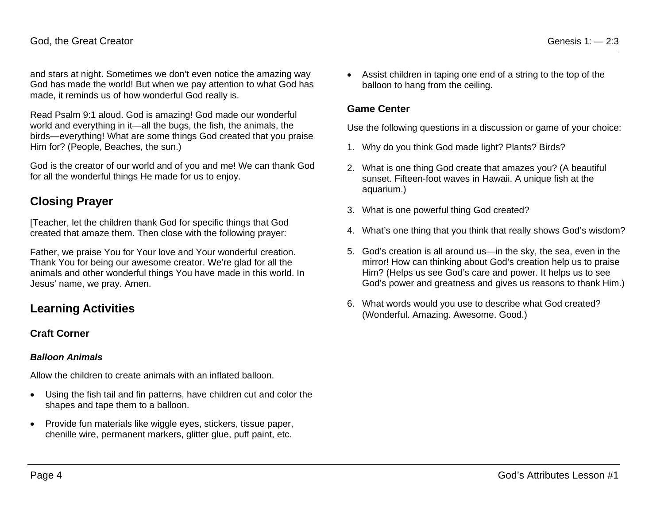and stars at night. Sometimes we don't even notice the amazing way God has made the world! But when we pay attention to what God has made, it reminds us of how wonderful God really is.

Read Psalm 9:1 aloud. God is amazing! God made our wonderful world and everything in it—all the bugs, the fish, the animals, the birds—everything! What are some things God created that you praise Him for? (People, Beaches, the sun.)

God is the creator of our world and of you and me! We can thank God for all the wonderful things He made for us to enjoy.

# **Closing Prayer**

[Teacher, let the children thank God for specific things that God created that amaze them. Then close with the following prayer:

Father, we praise You for Your love and Your wonderful creation. Thank You for being our awesome creator. We're glad for all the animals and other wonderful things You have made in this world. In Jesus' name, we pray. Amen.

# **Learning Activities**

## **Craft Corner**

### *Balloon Animals*

Allow the children to create animals with an inflated balloon.

- Using the fish tail and fin patterns, have children cut and color the shapes and tape them to a balloon.
- Provide fun materials like wiggle eyes, stickers, tissue paper, chenille wire, permanent markers, glitter glue, puff paint, etc.

• Assist children in taping one end of a string to the top of the balloon to hang from the ceiling.

## **Game Center**

Use the following questions in a discussion or game of your choice:

- 1. Why do you think God made light? Plants? Birds?
- 2. What is one thing God create that amazes you? (A beautiful sunset. Fifteen-foot waves in Hawaii. A unique fish at the aquarium.)
- 3. What is one powerful thing God created?
- 4. What's one thing that you think that really shows God's wisdom?
- 5. God's creation is all around us—in the sky, the sea, even in the mirror! How can thinking about God's creation help us to praise Him? (Helps us see God's care and power. It helps us to see God's power and greatness and gives us reasons to thank Him.)
- 6. What words would you use to describe what God created? (Wonderful. Amazing. Awesome. Good.)